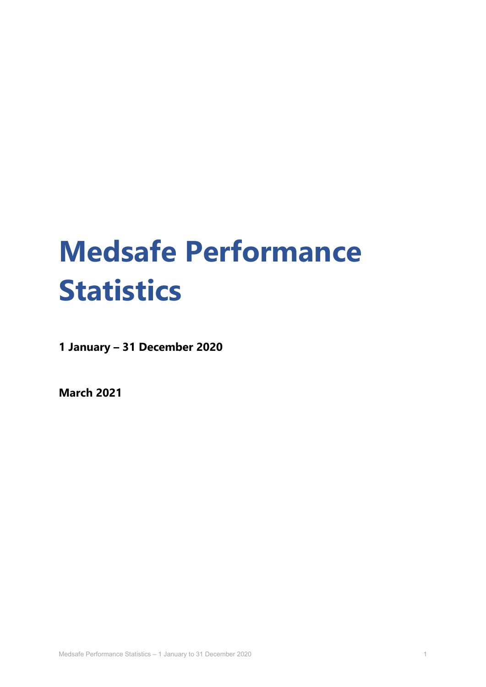# **Medsafe Performance Statistics**

**1 January – 31 December 2020** 

**March 2021**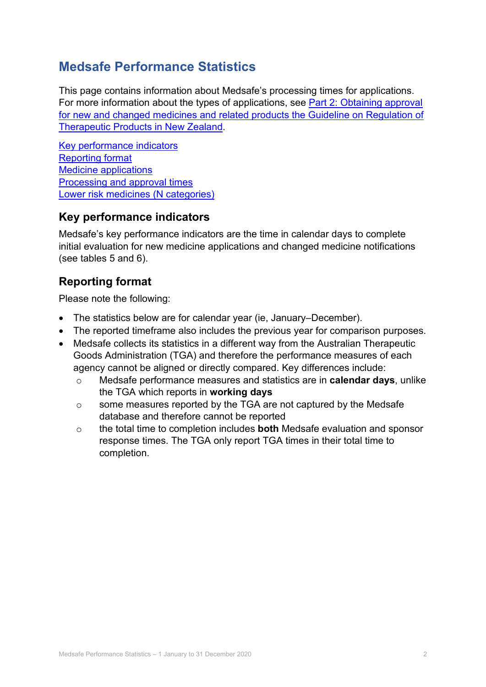## **Medsafe Performance Statistics**

This page contains information about Medsafe's processing times for applications. For more information about the types of applications, see [Part 2: Obtaining approval](https://www.medsafe.govt.nz/regulatory/Guideline/GRTPNZ/Part2.pdf)  [for new and changed medicines and related products the Guideline on Regulation of](https://www.medsafe.govt.nz/regulatory/Guideline/GRTPNZ/Part2.pdf)  [Therapeutic Products in New Zealand.](https://www.medsafe.govt.nz/regulatory/Guideline/GRTPNZ/Part2.pdf)

[Key performance indicators](#page-1-0) [Reporting format](#page-1-1) [Medicine applications](#page-2-0) [Processing and approval](#page-4-0) times [Lower risk medicines](#page-10-0) (N categories)

## <span id="page-1-0"></span>**Key performance indicators**

Medsafe's key performance indicators are the time in calendar days to complete initial evaluation for new medicine applications and changed medicine notifications (see tables 5 and 6).

## <span id="page-1-1"></span>**Reporting format**

Please note the following:

- The statistics below are for calendar year (ie, January–December).
- The reported timeframe also includes the previous year for comparison purposes.
- Medsafe collects its statistics in a different way from the Australian Therapeutic Goods Administration (TGA) and therefore the performance measures of each agency cannot be aligned or directly compared. Key differences include:
	- o Medsafe performance measures and statistics are in **calendar days**, unlike the TGA which reports in **working days**
	- o some measures reported by the TGA are not captured by the Medsafe database and therefore cannot be reported
	- o the total time to completion includes **both** Medsafe evaluation and sponsor response times. The TGA only report TGA times in their total time to completion.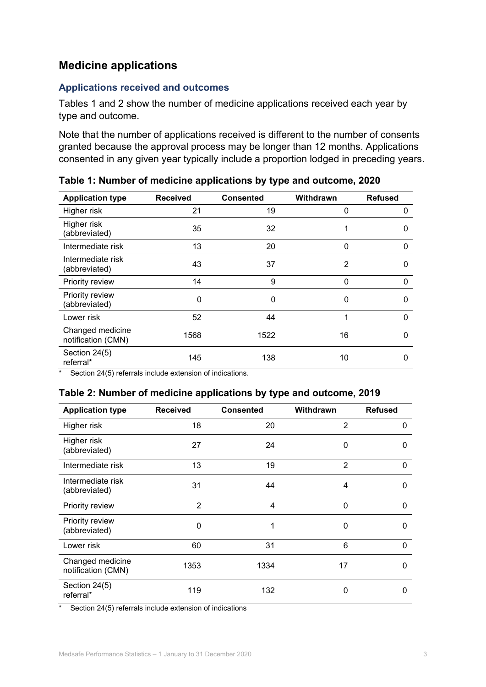## <span id="page-2-0"></span>**Medicine applications**

#### **Applications received and outcomes**

Tables 1 and 2 show the number of medicine applications received each year by type and outcome.

Note that the number of applications received is different to the number of consents granted because the approval process may be longer than 12 months. Applications consented in any given year typically include a proportion lodged in preceding years.

| <b>Application type</b>                | <b>Received</b> | <b>Consented</b> | Withdrawn | <b>Refused</b> |
|----------------------------------------|-----------------|------------------|-----------|----------------|
| Higher risk                            | 21              | 19               | 0         | 0              |
| Higher risk<br>(abbreviated)           | 35              | 32               | 1         | 0              |
| Intermediate risk                      | 13              | 20               | 0         | 0              |
| Intermediate risk<br>(abbreviated)     | 43              | 37               | 2         | 0              |
| Priority review                        | 14              | 9                | 0         | 0              |
| Priority review<br>(abbreviated)       | $\Omega$        | 0                | 0         | 0              |
| Lower risk                             | 52              | 44               | 1         | 0              |
| Changed medicine<br>notification (CMN) | 1568            | 1522             | 16        | 0              |
| Section 24(5)<br>referral*             | 145             | 138              | 10        | 0              |

**Table 1: Number of medicine applications by type and outcome, 2020**

\* Section 24(5) referrals include extension of indications.

#### **Table 2: Number of medicine applications by type and outcome, 2019**

| <b>Application type</b>                | <b>Received</b> | <b>Consented</b> | Withdrawn      | <b>Refused</b> |
|----------------------------------------|-----------------|------------------|----------------|----------------|
| Higher risk                            | 18              | 20               | 2              | 0              |
| Higher risk<br>(abbreviated)           | 27              | 24               | 0              | 0              |
| Intermediate risk                      | 13              | 19               | $\overline{2}$ | $\Omega$       |
| Intermediate risk<br>(abbreviated)     | 31              | 44               | 4              | 0              |
| Priority review                        | $\overline{2}$  | 4                | $\mathbf 0$    | $\Omega$       |
| Priority review<br>(abbreviated)       | 0               | 1                | $\mathbf 0$    | 0              |
| Lower risk                             | 60              | 31               | 6              | 0              |
| Changed medicine<br>notification (CMN) | 1353            | 1334             | 17             | 0              |
| Section 24(5)<br>referral*             | 119             | 132              | 0              | 0              |

\* Section 24(5) referrals include extension of indications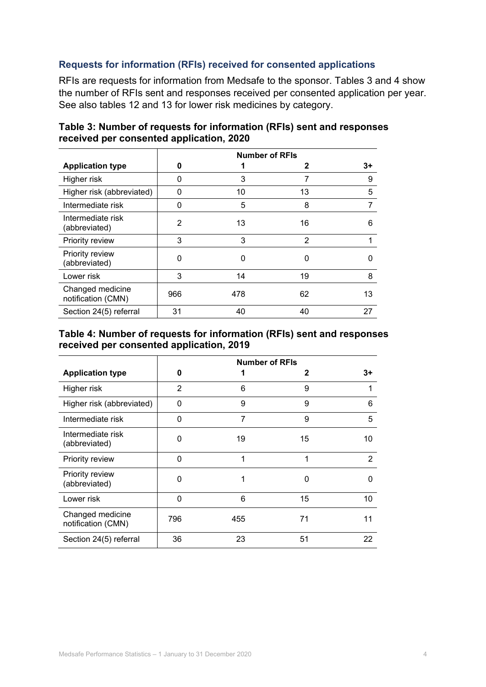#### **Requests for information (RFIs) received for consented applications**

RFIs are requests for information from Medsafe to the sponsor. Tables 3 and 4 show the number of RFIs sent and responses received per consented application per year. See also tables 12 and 13 for lower risk medicines by category.

|                                        | <b>Number of RFIs</b> |     |    |      |  |
|----------------------------------------|-----------------------|-----|----|------|--|
| <b>Application type</b>                | 0                     |     | 2  | $3+$ |  |
| Higher risk                            | 0                     | 3   |    | 9    |  |
| Higher risk (abbreviated)              | 0                     | 10  | 13 | 5    |  |
| Intermediate risk                      | 0                     | 5   | 8  | 7    |  |
| Intermediate risk<br>(abbreviated)     | 2                     | 13  | 16 | 6    |  |
| Priority review                        | 3                     | 3   | 2  |      |  |
| Priority review<br>(abbreviated)       | $\Omega$              | 0   | 0  | n    |  |
| Lower risk                             | 3                     | 14  | 19 | 8    |  |
| Changed medicine<br>notification (CMN) | 966                   | 478 | 62 | 13   |  |
| Section 24(5) referral                 | 31                    | 40  | 40 | 27   |  |

| Table 3: Number of requests for information (RFIs) sent and responses |
|-----------------------------------------------------------------------|
| received per consented application, 2020                              |

#### **Table 4: Number of requests for information (RFIs) sent and responses received per consented application, 2019**

|                                        | <b>Number of RFIs</b> |     |    |    |  |
|----------------------------------------|-----------------------|-----|----|----|--|
| <b>Application type</b>                | 0                     |     | 2  | 3+ |  |
| Higher risk                            | $\overline{2}$        | 6   | 9  | 1  |  |
| Higher risk (abbreviated)              | 0                     | 9   | 9  | 6  |  |
| Intermediate risk                      | $\Omega$              | 7   | 9  | 5  |  |
| Intermediate risk<br>(abbreviated)     | $\Omega$              | 19  | 15 | 10 |  |
| Priority review                        | 0                     | 1   | 1  | 2  |  |
| Priority review<br>(abbreviated)       | 0                     | 1   | 0  | 0  |  |
| Lower risk                             | 0                     | 6   | 15 | 10 |  |
| Changed medicine<br>notification (CMN) | 796                   | 455 | 71 | 11 |  |
| Section 24(5) referral                 | 36                    | 23  | 51 | 22 |  |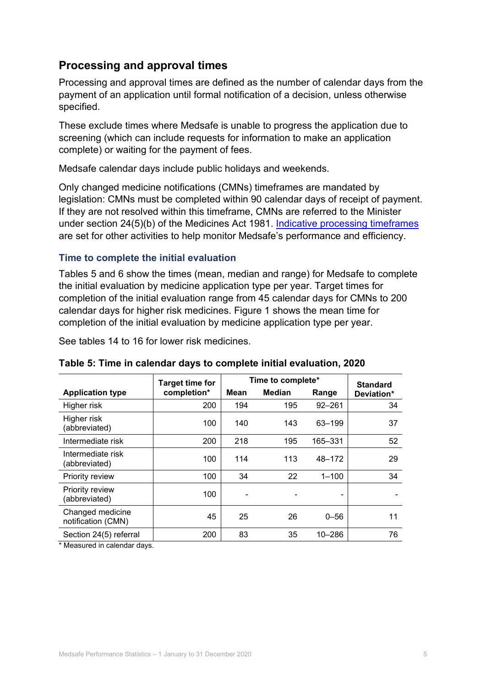## <span id="page-4-0"></span>**Processing and approval times**

Processing and approval times are defined as the number of calendar days from the payment of an application until formal notification of a decision, unless otherwise specified.

These exclude times where Medsafe is unable to progress the application due to screening (which can include requests for information to make an application complete) or waiting for the payment of fees.

Medsafe calendar days include public holidays and weekends.

Only changed medicine notifications (CMNs) timeframes are mandated by legislation: CMNs must be completed within 90 calendar days of receipt of payment. If they are not resolved within this timeframe, CMNs are referred to the Minister under section 24(5)(b) of the Medicines Act 1981. [Indicative processing timeframes](https://www.medsafe.govt.nz/regulatory/EvaluationTimeframesAndRegistrationSituation.asp) are set for other activities to help monitor Medsafe's performance and efficiency.

#### **Time to complete the initial evaluation**

Tables 5 and 6 show the times (mean, median and range) for Medsafe to complete the initial evaluation by medicine application type per year. Target times for completion of the initial evaluation range from 45 calendar days for CMNs to 200 calendar days for higher risk medicines. Figure 1 shows the mean time for completion of the initial evaluation by medicine application type per year.

See tables 14 to 16 for lower risk medicines.

|                                         | <b>Target time for</b> |      | Time to complete* |            | <b>Standard</b> |
|-----------------------------------------|------------------------|------|-------------------|------------|-----------------|
| <b>Application type</b>                 | completion*            | Mean | <b>Median</b>     | Range      | Deviation*      |
| Higher risk                             | 200                    | 194  | 195               | $92 - 261$ | 34              |
| Higher risk<br>(abbreviated)            | 100                    | 140  | 143               | 63-199     | 37              |
| Intermediate risk                       | 200                    | 218  | 195               | 165-331    | 52              |
| Intermediate risk<br>(abbreviated)      | 100                    | 114  | 113               | 48-172     | 29              |
| Priority review                         | 100                    | 34   | 22                | $1 - 100$  | 34              |
| <b>Priority review</b><br>(abbreviated) | 100                    |      |                   |            |                 |
| Changed medicine<br>notification (CMN)  | 45                     | 25   | 26                | $0 - 56$   | 11              |
| Section 24(5) referral                  | 200                    | 83   | 35                | $10 - 286$ | 76              |

**Table 5: Time in calendar days to complete initial evaluation, 2020**

\* Measured in calendar days.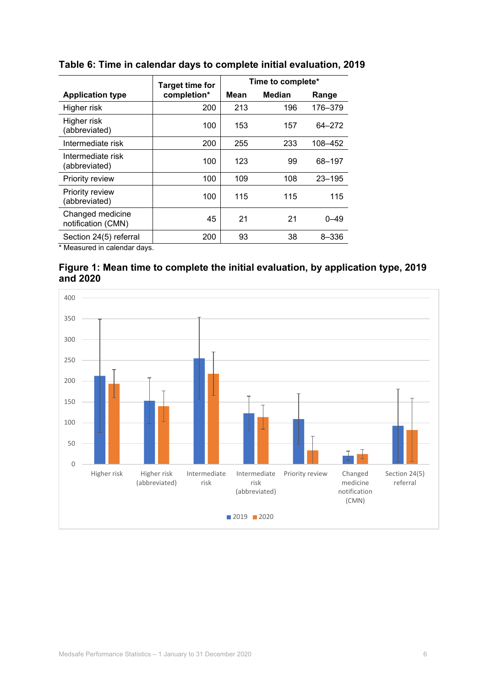|                                        | <b>Target time for</b> | Time to complete* |               |            |  |
|----------------------------------------|------------------------|-------------------|---------------|------------|--|
| <b>Application type</b>                | completion*            | Mean              | <b>Median</b> | Range      |  |
| Higher risk                            | 200                    | 213               | 196           | 176-379    |  |
| Higher risk<br>(abbreviated)           | 100                    | 153               | 157           | 64-272     |  |
| Intermediate risk                      | 200                    | 255               | 233           | 108-452    |  |
| Intermediate risk<br>(abbreviated)     | 100                    | 123               | 99            | 68-197     |  |
| Priority review                        | 100                    | 109               | 108           | $23 - 195$ |  |
| Priority review<br>(abbreviated)       | 100                    | 115               | 115           | 115        |  |
| Changed medicine<br>notification (CMN) | 45                     | 21                | 21            | 0–49       |  |
| Section 24(5) referral                 | 200                    | 93                | 38            | $8 - 336$  |  |

#### **Table 6: Time in calendar days to complete initial evaluation, 2019**

\* Measured in calendar days.



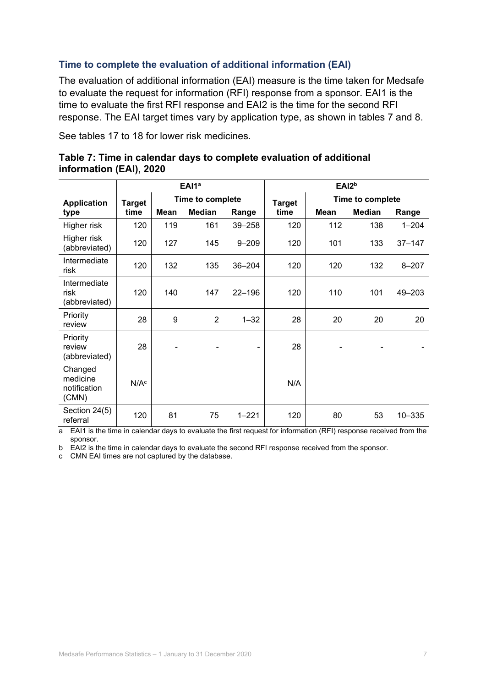#### **Time to complete the evaluation of additional information (EAI)**

The evaluation of additional information (EAI) measure is the time taken for Medsafe to evaluate the request for information (RFI) response from a sponsor. EAI1 is the time to evaluate the first RFI response and EAI2 is the time for the second RFI response. The EAI target times vary by application type, as shown in tables 7 and 8.

See tables 17 to 18 for lower risk medicines.

|                                              | EAI <sub>1a</sub> |             |                  |                          |      |                                   | EAI2 <sup>b</sup> |            |
|----------------------------------------------|-------------------|-------------|------------------|--------------------------|------|-----------------------------------|-------------------|------------|
| <b>Application</b>                           | <b>Target</b>     |             | Time to complete |                          |      | Time to complete<br><b>Target</b> |                   |            |
| type                                         | time              | <b>Mean</b> | <b>Median</b>    | Range                    | time | <b>Mean</b>                       | <b>Median</b>     | Range      |
| Higher risk                                  | 120               | 119         | 161              | 39-258                   | 120  | 112                               | 138               | $1 - 204$  |
| Higher risk<br>(abbreviated)                 | 120               | 127         | 145              | $9 - 209$                | 120  | 101                               | 133               | $37 - 147$ |
| Intermediate<br>risk                         | 120               | 132         | 135              | 36-204                   | 120  | 120                               | 132               | $8 - 207$  |
| Intermediate<br>risk<br>(abbreviated)        | 120               | 140         | 147              | 22-196                   | 120  | 110                               | 101               | 49-203     |
| Priority<br>review                           | 28                | 9           | $\overline{2}$   | $1 - 32$                 | 28   | 20                                | 20                | 20         |
| Priority<br>review<br>(abbreviated)          | 28                |             |                  | $\overline{\phantom{0}}$ | 28   |                                   |                   |            |
| Changed<br>medicine<br>notification<br>(CMN) | N/A <sup>c</sup>  |             |                  |                          | N/A  |                                   |                   |            |
| Section 24(5)<br>referral                    | 120               | 81          | 75               | $1 - 221$                | 120  | 80                                | 53                | 10-335     |

#### **Table 7: Time in calendar days to complete evaluation of additional information (EAI), 2020**

a EAI1 is the time in calendar days to evaluate the first request for information (RFI) response received from the sponsor.

b EAI2 is the time in calendar days to evaluate the second RFI response received from the sponsor.

c CMN EAI times are not captured by the database.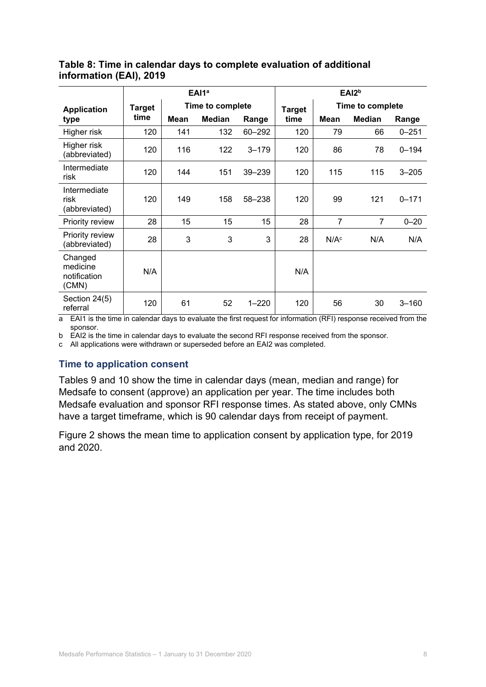|                                              | EAI1 <sup>a</sup> |      |                  | EAI <sub>2b</sub> |               |                  |                  |           |
|----------------------------------------------|-------------------|------|------------------|-------------------|---------------|------------------|------------------|-----------|
| Target<br><b>Application</b>                 |                   |      | Time to complete |                   | <b>Target</b> |                  | Time to complete |           |
| type                                         | time              | Mean | <b>Median</b>    | Range             | time          | Mean             | <b>Median</b>    | Range     |
| Higher risk                                  | 120               | 141  | 132              | 60-292            | 120           | 79               | 66               | $0 - 251$ |
| Higher risk<br>(abbreviated)                 | 120               | 116  | 122              | $3 - 179$         | 120           | 86               | 78               | $0 - 194$ |
| Intermediate<br>risk                         | 120               | 144  | 151              | 39-239            | 120           | 115              | 115              | $3 - 205$ |
| Intermediate<br>risk<br>(abbreviated)        | 120               | 149  | 158              | 58-238            | 120           | 99               | 121              | $0 - 171$ |
| Priority review                              | 28                | 15   | 15               | 15                | 28            | 7                | $\overline{7}$   | $0 - 20$  |
| Priority review<br>(abbreviated)             | 28                | 3    | 3                | 3                 | 28            | N/A <sup>c</sup> | N/A              | N/A       |
| Changed<br>medicine<br>notification<br>(CMN) | N/A               |      |                  |                   | N/A           |                  |                  |           |
| Section 24(5)<br>referral                    | 120               | 61   | 52               | $1 - 220$         | 120           | 56               | 30               | $3 - 160$ |

#### **Table 8: Time in calendar days to complete evaluation of additional information (EAI), 2019**

a EAI1 is the time in calendar days to evaluate the first request for information (RFI) response received from the sponsor.

b EAI2 is the time in calendar days to evaluate the second RFI response received from the sponsor.

c All applications were withdrawn or superseded before an EAI2 was completed.

#### **Time to application consent**

Tables 9 and 10 show the time in calendar days (mean, median and range) for Medsafe to consent (approve) an application per year. The time includes both Medsafe evaluation and sponsor RFI response times. As stated above, only CMNs have a target timeframe, which is 90 calendar days from receipt of payment.

Figure 2 shows the mean time to application consent by application type, for 2019 and 2020.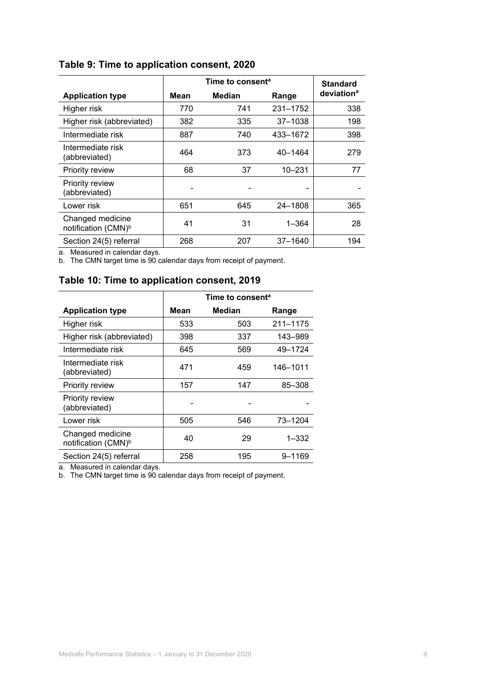|                                                     |      | Time to consent <sup>a</sup> | <b>Standard</b> |                        |
|-----------------------------------------------------|------|------------------------------|-----------------|------------------------|
| <b>Application type</b>                             | Mean | Median                       | Range           | deviation <sup>a</sup> |
| Higher risk                                         | 770  | 741                          | 231-1752        | 338                    |
| Higher risk (abbreviated)                           | 382  | 335                          | $37 - 1038$     | 198                    |
| Intermediate risk                                   | 887  | 740                          | 433-1672        | 398                    |
| Intermediate risk<br>(abbreviated)                  | 464  | 373                          | 40-1464         | 279                    |
| Priority review                                     | 68   | 37                           | $10 - 231$      | 77                     |
| Priority review<br>(abbreviated)                    |      |                              |                 |                        |
| Lower risk                                          | 651  | 645                          | 24-1808         | 365                    |
| Changed medicine<br>notification (CMN) <sup>b</sup> | 41   | 31                           | $1 - 364$       | 28                     |
| Section 24(5) referral                              | 268  | 207                          | $37 - 1640$     | 194                    |

#### **Table 9: Time to application consent, 2020**

a. Measured in calendar days.

b. The CMN target time is 90 calendar days from receipt of payment.

#### **Table 10: Time to application consent, 2019**

|                                                     | Time to consent <sup>a</sup> |               |           |  |  |
|-----------------------------------------------------|------------------------------|---------------|-----------|--|--|
| <b>Application type</b>                             | Mean                         | <b>Median</b> | Range     |  |  |
| Higher risk                                         | 533                          | 503           | 211-1175  |  |  |
| Higher risk (abbreviated)                           | 398                          | 337           | 143–989   |  |  |
| Intermediate risk                                   | 645                          | 569           | 49-1724   |  |  |
| Intermediate risk<br>(abbreviated)                  | 471                          | 459           | 146-1011  |  |  |
| Priority review                                     | 157                          | 147           | 85-308    |  |  |
| Priority review<br>(abbreviated)                    |                              |               |           |  |  |
| Lower risk                                          | 505                          | 546           | 73-1204   |  |  |
| Changed medicine<br>notification (CMN) <sup>b</sup> | 40                           | 29            | $1 - 332$ |  |  |
| Section 24(5) referral                              | 258                          | 195           | 9–1169    |  |  |

a. Measured in calendar days.

b. The CMN target time is 90 calendar days from receipt of payment.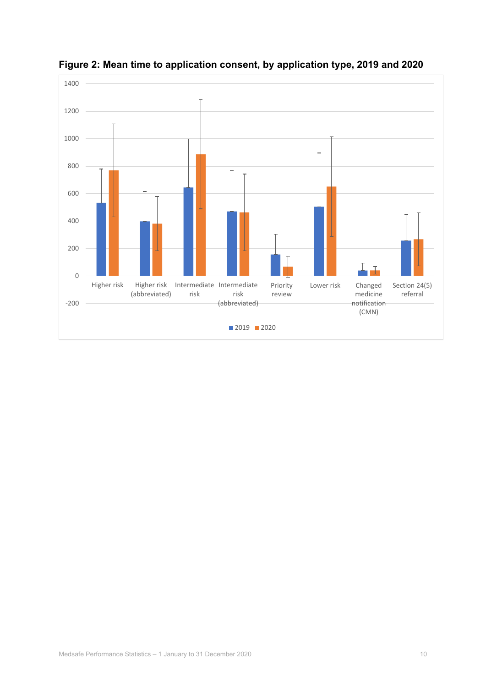

**Figure 2: Mean time to application consent, by application type, 2019 and 2020**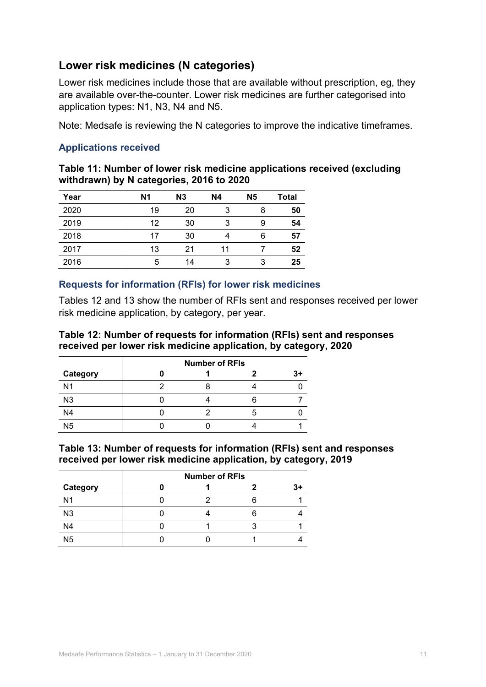## <span id="page-10-0"></span>**Lower risk medicines (N categories)**

Lower risk medicines include those that are available without prescription, eg, they are available over-the-counter. Lower risk medicines are further categorised into application types: N1, N3, N4 and N5.

Note: Medsafe is reviewing the N categories to improve the indicative timeframes.

#### **Applications received**

| Table 11: Number of lower risk medicine applications received (excluding |  |
|--------------------------------------------------------------------------|--|
| withdrawn) by N categories, 2016 to 2020                                 |  |

| Year | N <sub>1</sub> | N3 | <b>N4</b> | <b>N5</b> | Total |
|------|----------------|----|-----------|-----------|-------|
| 2020 | 19             | 20 | 3         | 8         | 50    |
| 2019 | 12             | 30 | 3         | 9         | 54    |
| 2018 | 17             | 30 |           | 6         | 57    |
| 2017 | 13             | 21 | 11        |           | 52    |
| 2016 | 5              | 14 | 3         | 3         | 25    |

#### **Requests for information (RFIs) for lower risk medicines**

Tables 12 and 13 show the number of RFIs sent and responses received per lower risk medicine application, by category, per year.

#### **Table 12: Number of requests for information (RFIs) sent and responses received per lower risk medicine application, by category, 2020**

|                | <b>Number of RFIs</b> |  |  |  |  |  |
|----------------|-----------------------|--|--|--|--|--|
| Category       |                       |  |  |  |  |  |
| N <sub>1</sub> |                       |  |  |  |  |  |
| N <sub>3</sub> |                       |  |  |  |  |  |
| N <sub>4</sub> |                       |  |  |  |  |  |
| N <sub>5</sub> |                       |  |  |  |  |  |

#### **Table 13: Number of requests for information (RFIs) sent and responses received per lower risk medicine application, by category, 2019**

|                | <b>Number of RFIs</b> |  |  |  |  |  |
|----------------|-----------------------|--|--|--|--|--|
| Category       |                       |  |  |  |  |  |
| N <sub>1</sub> |                       |  |  |  |  |  |
| N <sub>3</sub> |                       |  |  |  |  |  |
| N <sub>4</sub> |                       |  |  |  |  |  |
| N <sub>5</sub> |                       |  |  |  |  |  |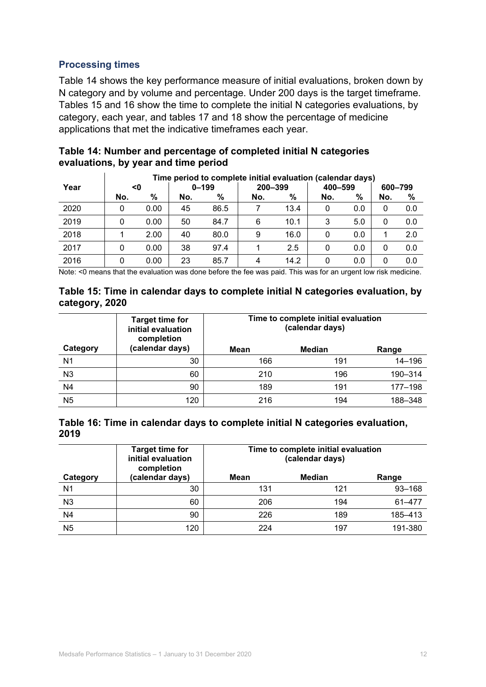#### **Processing times**

Table 14 shows the key performance measure of initial evaluations, broken down by N category and by volume and percentage. Under 200 days is the target timeframe. Tables 15 and 16 show the time to complete the initial N categories evaluations, by category, each year, and tables 17 and 18 show the percentage of medicine applications that met the indicative timeframes each year.

|      | Time period to complete initial evaluation (calendar days) |      |     |           |         |      |         |     |         |     |
|------|------------------------------------------------------------|------|-----|-----------|---------|------|---------|-----|---------|-----|
| Year | <0                                                         |      |     | $0 - 199$ | 200-399 |      | 400-599 |     | 600-799 |     |
|      | No.                                                        | $\%$ | No. | %         | No.     | %    | No.     | %   | No.     | %   |
| 2020 | 0                                                          | 0.00 | 45  | 86.5      |         | 13.4 | 0       | 0.0 | 0       | 0.0 |
| 2019 | 0                                                          | 0.00 | 50  | 84.7      | 6       | 10.1 | 3       | 5.0 | 0       | 0.0 |
| 2018 |                                                            | 2.00 | 40  | 80.0      | 9       | 16.0 | 0       | 0.0 |         | 2.0 |
| 2017 |                                                            | 0.00 | 38  | 97.4      |         | 2.5  | 0       | 0.0 | 0       | 0.0 |
| 2016 |                                                            | 0.00 | 23  | 85.7      | 4       | 14.2 | 0       | 0.0 | 0       | 0.0 |

| Table 14: Number and percentage of completed initial N categories |
|-------------------------------------------------------------------|
| evaluations, by year and time period                              |

Note: <0 means that the evaluation was done before the fee was paid. This was for an urgent low risk medicine.

#### **Table 15: Time in calendar days to complete initial N categories evaluation, by category, 2020**

|                | <b>Target time for</b><br>initial evaluation<br>completion | Time to complete initial evaluation<br>(calendar days) |        |            |  |  |
|----------------|------------------------------------------------------------|--------------------------------------------------------|--------|------------|--|--|
| Category       | (calendar days)                                            | Mean                                                   | Median | Range      |  |  |
| N <sub>1</sub> | 30                                                         | 166                                                    | 191    | $14 - 196$ |  |  |
| N <sub>3</sub> | 60                                                         | 210                                                    | 196    | 190-314    |  |  |
| N <sub>4</sub> | 90                                                         | 189                                                    | 191    | 177-198    |  |  |
| N <sub>5</sub> | 120                                                        | 216                                                    | 194    | 188-348    |  |  |

| Table 16: Time in calendar days to complete initial N categories evaluation, |  |  |
|------------------------------------------------------------------------------|--|--|
| 2019                                                                         |  |  |

|                | <b>Target time for</b><br>initial evaluation<br>completion | Time to complete initial evaluation<br>(calendar days) |        |            |
|----------------|------------------------------------------------------------|--------------------------------------------------------|--------|------------|
| Category       | (calendar days)                                            | Mean                                                   | Median | Range      |
| N <sub>1</sub> | 30                                                         | 131                                                    | 121    | $93 - 168$ |
| N <sub>3</sub> | 60                                                         | 206                                                    | 194    | 61-477     |
| N <sub>4</sub> | 90                                                         | 226                                                    | 189    | 185-413    |
| N <sub>5</sub> | 120                                                        | 224                                                    | 197    | 191-380    |